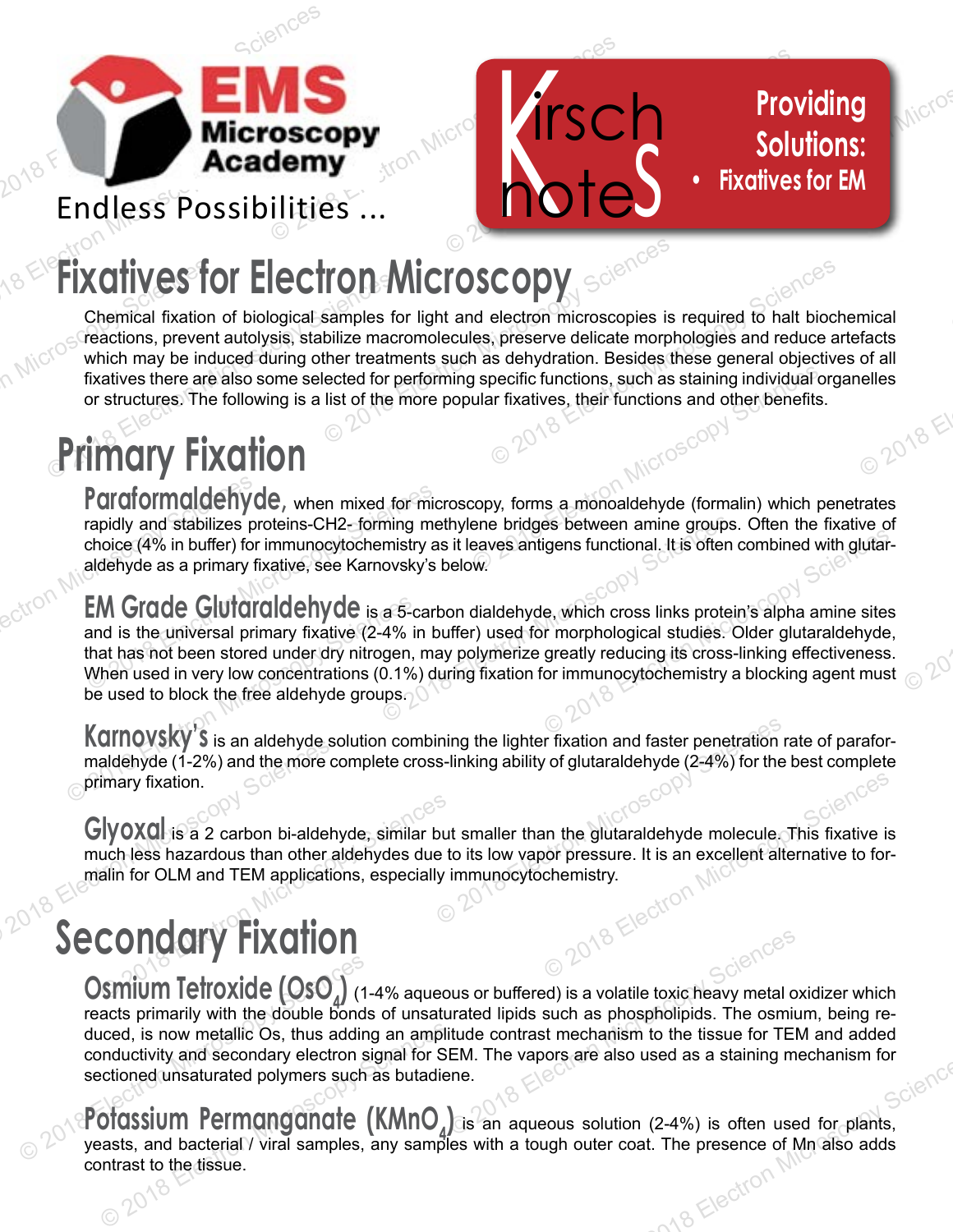

# e *Krsch* Pro **Fixatives for Electron Microscopy**

**ELECTION**<br>
Chemical fixation of biological samples<br>
reactions, prevent autolysis, stabilize machines<br>
which may be induced during other treatr<br>
fixatives there are also some selected for<br>
or structures. The following is a **Eixatives**<br>Chemical fixation<br>Tractions, prever<br>Fixatives there are<br>or structures. The **CODY**<br>
electron microscopies is required to halt bioc<br>
Selectron microscopies is required to halt bioc<br>
Ses interesting individual origin fixatives, their functions and other benefits. **TON MICTOSCODY**<br>
Samples for light and electron microscopies is<br>
bilize macromolecules, preserve delicate morp<br>
ther treatments such as dehydration. Besides<br>
lected for performing specific functions, such as<br>
list of the mical<br>facts<br>of all<br>elles<br> $20^{18}$ Chemical fixation of biological samples for light and electron microscopies is required to halt biochemical reactions, prevent autolysis, stabilize macromolecules, preserve delicate morphologies and reduce artefacts which may be induced during other treatments such as dehydration. Besides these general objectives of all fixatives there are also some selected for performing specific functions, such as staining individual organelles or structures. The following is a list of the more popular fixatives, their functions and other benefits.

irsch

note.

**Providing<br>Solutions:**<br>Catives for EM

**Providing**

**Solutions:**

**• Fixatives for EM**

 $e^{2Q}$ 

g specific functions, such as staining individual<br>ular fixatives, their functions and other benefits<br> $20^{\circ}$ <br>copy, forms a monoaldehyde (formalin) which pene bridges between amine groups. Often the<br>eaves antigens functio **Paraformaldehyde**, when mixed for microscopy, forms a monoaldehyde (formalin) which penetrates rapidly and stabilizes proteins-CH2- forming methylene bridges between amine groups. Often the fixative of choice (4% in buffer) for immunocytochemistry as it leaves antigens functional. It is often combined with glutaraldehyde as a primary fixative, see Karnovsky's below.

**Paraformaldehy**<br>
rapidly and stabilizes p<br>
choice (4% in buffer) fo<br>
aldehyde as a primary<br> **EM Grade Gluta**<br>
and is the universal pr<br>
that has not been store<br>
When used in very low **Paraformaldehyde**, when mixed for mi<br>rapidly and stabilizes proteins-CH2-forming m<br>choice (4% in buffer) for immunocytochemistry a<br>aldehyde as a primary fixative, see Karnovsky's<br>**EM Grade Glutaraldehyde** is a 5-can<br>and i ming methylene bridges between amine group<br>mistry as it leaves antigens functional. It is ofter<br>ovsky's below.<br>a 5-carbon dialdehyde, which cross links prote<br>4% in buffer) used for morphological studies.<br>gen, may polymeriz **EM Grade Glutaraldehyde** is a 5-<br>and is the universal primary fixative (2-4%<br>that has not been stored under dry nitrogen.<br>When used in very low concentrations (0.1%<br>be used to block the free aldehyde groups.<br>**Karnovsky's** Electron Microsofter Sciences Units of the Combined with glutar<br>
e, which cross links protein's alpha amine sites<br>
e, which cross links protein's alpha amine sites<br>
or immunocytochemistry a blocking agent mus **EM Grade Glutaraldehyde** is a 5-carbon dialdehyde, which cross links protein's alpha amine sites and is the universal primary fixative (2-4% in buffer) used for morphological studies. Older glutaraldehyde, that has not been stored under dry nitrogen, may polymerize greatly reducing its cross-linking effectiveness. When used in very low concentrations (0.1%) during fixation for immunocytochemistry a blocking agent must be used to block the free aldehyde groups.

Fraction and faster penetration<br>
s-linking ability of glutaraldehyde (2-4%) for the<br>
S<br>
but smaller than the glutaraldehyde molecule.<br>
e to its low vapor pressure. It is an excellent ally<br>
ly immunocytochemistry. **Karnovsky's** is an aldehyde solution combining the lighter fixation and faster penetration rate of paraformaldehyde (1-2%) and the more complete cross-linking ability of glutaraldehyde (2-4%) for the best complete primary fixation.

Maria Companies and Service Sciences hazardous than other aldehydes due<br>alin for OLM and TEM applications, especially<br>CONCOTY FIXOTION Mallenyde (1-2%) and the more<br>
primary fixation.<br>
Civoxal is a 2 carbon bi-aldel<br>
much less hazardous than other<br>
malin for OLM and TEM application 2018 Electron **Glyoxal** is a 2 carbon bi-aldehyde, similar but smaller than the glutaraldehyde molecule. This fixative is much less hazardous than other aldehydes due to its low vapor pressure. It is an excellent alternative to formalin for OLM and TEM applications, especially immunocytochemistry.

### **Secondary Fixation**

**Osmium Tetroxide (OsO**<sup>1</sup>) (1<br>reacts primarily with the double bond<br>duced, is now metallic Os, thus addir<br>conductivity and secondary electron sectioned unsaturated polymers such<br>**POTOSSIUM Permongonate**<br>yeasts, and bacter  $\frac{2018}{800}$ <br>
bus or buffered) is a volatile toxic heavy metal contrast sphospholipids. The osmit<br>
itude contrast mechanism to the tissue for TEI<br>
EM. The vapors are also used as a staining m<br>
ane. **Osmium Tetroxide (OsO<sub>4</sub>)** (1-4% aqueous or buffered) is a volatile toxic heavy metal oxidizer which reacts primarily with the double bonds of unsaturated lipids such as phospholipids. The osmium, being reduced, is now metallic Os, thus adding an amplitude contrast mechanism to the tissue for TEM and added conductivity and secondary electron signal for SEM. The vapors are also used as a staining mechanism for sectioned unsaturated polymers such as butadiene.

Exercise of a secondary electron signal for Sectioned unsaturated polymers such as butadic estimated polymers such as butadic original for Section Microscopy Sciences and Dividends and Dividends and Dividends and Section M ang Flectron **Potassium Permanganate (KMNO<sub>4</sub>)** is an aqueous solution (2-4%) is often used for plants, yeasts, and bacterial / viral samples, any samples with a tough outer coat. The presence of Mn also adds contrast to the tissue.